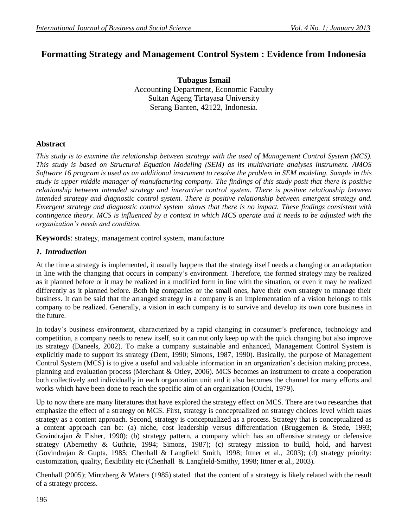# **Formatting Strategy and Management Control System : Evidence from Indonesia**

**Tubagus Ismail** Accounting Department, Economic Faculty Sultan Ageng Tirtayasa University Serang Banten, 42122, Indonesia.

## **Abstract**

*This study is to examine the relationship between strategy with the used of Management Control System (MCS). This study is based on Structural Equation Modeling (SEM) as its multivariate analyses instrument. AMOS Software 16 program is used as an additional instrument to resolve the problem in SEM modeling. Sample in this study is upper middle manager of manufacturing company. The findings of this study posit that there is positive relationship between intended strategy and interactive control system. There is positive relationship between intended strategy and diagnostic control system. There is positive relationship between emergent strategy and. Emergent strategy and diagnostic control system shows that there is no impact. These findings consistent with contingence theory. MCS is influenced by a context in which MCS operate and it needs to be adjusted with the organization's needs and condition.*

**Keywords**: strategy, management control system, manufacture

## *1. Introduction*

At the time a strategy is implemented, it usually happens that the strategy itself needs a changing or an adaptation in line with the changing that occurs in company's environment. Therefore, the formed strategy may be realized as it planned before or it may be realized in a modified form in line with the situation, or even it may be realized differently as it planned before. Both big companies or the small ones, have their own strategy to manage their business. It can be said that the arranged strategy in a company is an implementation of a vision belongs to this company to be realized. Generally, a vision in each company is to survive and develop its own core business in the future.

In today's business environment, characterized by a rapid changing in consumer's preference, technology and competition, a company needs to renew itself, so it can not only keep up with the quick changing but also improve its strategy (Daneels, 2002). To make a company sustainable and enhanced, Management Control System is explicitly made to support its strategy (Dent, 1990; Simons, 1987, 1990). Basically, the purpose of Management Control System (MCS) is to give a useful and valuable information in an organization's decision making process, planning and evaluation process (Merchant & Otley, 2006). MCS becomes an instrument to create a cooperation both collectively and individually in each organization unit and it also becomes the channel for many efforts and works which have been done to reach the specific aim of an organization (Ouchi, 1979).

Up to now there are many literatures that have explored the strategy effect on MCS. There are two researches that emphasize the effect of a strategy on MCS. First, strategy is conceptualized on strategy choices level which takes strategy as a content approach. Second, strategy is conceptualized as a process. Strategy that is conceptualized as a content approach can be: (a) niche, cost leadership versus differentiation (Bruggemen & Stede, 1993; Govindrajan & Fisher, 1990); (b) strategy pattern, a company which has an offensive strategy or defensive strategy (Abernethy & Guthrie, 1994; Simons, 1987); (c) strategy mission to build, hold, and harvest (Govindrajan & Gupta, 1985; Chenhall & Langfield Smith, 1998; Ittner et al., 2003); (d) strategy priority: customization, quality, flexibility etc (Chenhall & Langfield-Smithy, 1998; Ittner et al., 2003).

Chenhall (2005); Mintzberg & Waters (1985) stated that the content of a strategy is likely related with the result of a strategy process.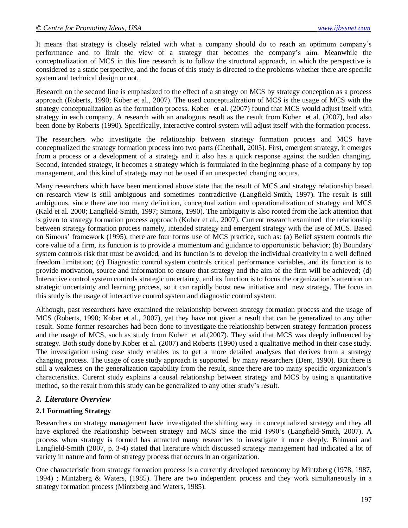It means that strategy is closely related with what a company should do to reach an optimum company's performance and to limit the view of a strategy that becomes the company's aim. Meanwhile the conceptualization of MCS in this line research is to follow the structural approach, in which the perspective is considered as a static perspective, and the focus of this study is directed to the problems whether there are specific system and technical design or not.

Research on the second line is emphasized to the effect of a strategy on MCS by strategy conception as a process approach (Roberts, 1990; Kober et al., 2007). The used conceptualization of MCS is the usage of MCS with the strategy conceptualization as the formation process. Kober et al. (2007) found that MCS would adjust itself with strategy in each company. A research with an analogous result as the result from Kober et al. (2007), had also been done by Roberts (1990). Specifically, interactive control system will adjust itself with the formation process.

The researchers who investigate the relationship between strategy formation process and MCS have conceptualized the strategy formation process into two parts (Chenhall, 2005). First, emergent strategy, it emerges from a process or a development of a strategy and it also has a quick response against the sudden changing. Second, intended strategy, it becomes a strategy which is formulated in the beginning phase of a company by top management, and this kind of strategy may not be used if an unexpected changing occurs.

Many researchers which have been mentioned above state that the result of MCS and strategy relationship based on research view is still ambiguous and sometimes contradictive (Langfield-Smith, 1997). The result is still ambiguous, since there are too many definition, conceptualization and operationalization of strategy and MCS (Kald et al. 2000; Langfield-Smith, 1997; Simons, 1990). The ambiguity is also rooted from the lack attention that is given to strategy formation process approach (Kober et al., 2007). Current research examined the relationship between strategy formation process namely, intended strategy and emergent strategy with the use of MCS. Based on Simons' framework (1995), there are four forms use of MCS practice, such as: (a) Belief system controls the core value of a firm, its function is to provide a momentum and guidance to opportunistic behavior; (b) Boundary system controls risk that must be avoided, and its function is to develop the individual creativity in a well defined freedom limitation; (c) Diagnostic control system controls critical performance variables, and its function is to provide motivation, source and information to ensure that strategy and the aim of the firm will be achieved; (d) Interactive control system controls strategic uncertainty, and its function is to focus the organization's attention on strategic uncertainty and learning process, so it can rapidly boost new initiative and new strategy. The focus in this study is the usage of interactive control system and diagnostic control system.

Although, past researchers have examined the relationship between strategy formation process and the usage of MCS (Roberts, 1990; Kober et al., 2007), yet they have not given a result that can be generalized to any other result. Some former researches had been done to investigate the relationship between strategy formation process and the usage of MCS, such as study from Kober et al.(2007). They said that MCS was deeply influenced by strategy. Both study done by Kober et al. (2007) and Roberts (1990) used a qualitative method in their case study. The investigation using case study enables us to get a more detailed analyses that derives from a strategy changing process. The usage of case study approach is supported by many researchers (Dent, 1990). But there is still a weakness on the generalization capability from the result, since there are too many specific organization's characteristics. Curernt study explains a causal relationship between strategy and MCS by using a quantitative method, so the result from this study can be generalized to any other study's result.

### *2. Literature Overview*

#### **2.1 Formatting Strategy**

Researchers on strategy management have investigated the shifting way in conceptualized strategy and they all have explored the relationship between strategy and MCS since the mid 1990's (Langfield-Smith, 2007). A process when strategy is formed has attracted many researches to investigate it more deeply. Bhimani and Langfield-Smith (2007, p. 3-4) stated that literature which discussed strategy management had indicated a lot of variety in nature and form of strategy process that occurs in an organization.

One characteristic from strategy formation process is a currently developed taxonomy by Mintzberg (1978, 1987, 1994) ; Mintzberg & Waters, (1985). There are two independent process and they work simultaneously in a strategy formation process (Mintzberg and Waters, 1985).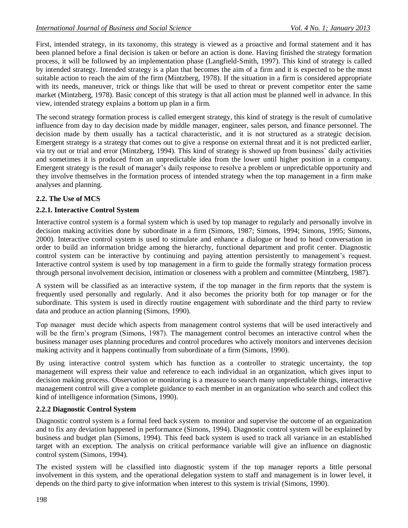First, intended strategy, in its taxonomy, this strategy is viewed as a proactive and formal statement and it has been planned before a final decision is taken or before an action is done. Having finished the strategy formation process, it will be followed by an implementation phase (Langfield-Smith, 1997). This kind of strategy is called by intended strategy. Intended strategy is a plan that becomes the aim of a firm and it is expected to be the most suitable action to reach the aim of the firm (Mintzberg, 1978). If the situation in a firm is considered appropriate with its needs, maneuver, trick or things like that will be used to threat or prevent competitor enter the same market (Mintzberg, 1978). Basic concept of this strategy is that all action must be planned well in advance. In this view, intended strategy explains a bottom up plan in a firm.

The second strategy formation process is called emergent strategy, this kind of strategy is the result of cumulative influence from day to day decision made by middle manager, engineer, sales person, and finance personnel. The decision made by them usually has a tactical characteristic, and it is not structured as a strategic decision. Emergent strategy is a strategy that comes out to give a response on external threat and it is not predicted earlier, via try out or trial and error (Mintzberg, 1994). This kind of strategy is showed up from business' daily activities and sometimes it is produced from an unpredictable idea from the lower until higher position in a company. Emergent strategy is the result of manager's daily response to resolve a problem or unpredictable opportunity and they involve themselves in the formation process of intended strategy when the top management in a firm make analyses and planning.

## **2.2. The Use of MCS**

## **2.2.1. Interactive Control System**

Interactive control system is a formal system which is used by top manager to regularly and personally involve in decision making activities done by subordinate in a firm (Simons, 1987; Simons, 1994; Simons, 1995; Simons, 2000). Interactive control system is used to stimulate and enhance a dialogue or head to head conversation in order to build an information bridge among the hierarchy, functional department and profit center. Diagnostic control system can be interactive by continuing and paying attention persistently to management's request. Interactive control system is used by top management in a firm to guide the formally strategy formation process through personal involvement decision, intimation or closeness with a problem and committee (Mintzberg, 1987).

A system will be classified as an interactive system, if the top manager in the firm reports that the system is frequently used personally and regularly. And it also becomes the priority both for top manager or for the subordinate. This system is used in directly routine engagement with subordinate and the third party to review data and produce an action planning (Simons, 1990).

Top manager must decide which aspects from management control systems that will be used interactively and will be the firm's program (Simons, 1987). The management control becomes an interactive control when the business manager uses planning procedures and control procedures who actively monitors and intervenes decision making activity and it happens continually from subordinate of a firm (Simons, 1990).

By using interactive control system which has function as a controller to strategic uncertainty, the top management will express their value and reference to each individual in an organization, which gives input to decision making process. Observation or monitoring is a measure to search many unpredictable things, interactive management control will give a complete guidance to each member in an organization who search and collect this kind of intelligence information (Simons, 1990).

## **2.2.2 Diagnostic Control System**

Diagnostic control system is a formal feed back system to monitor and supervise the outcome of an organization and to fix any deviation happened in performance (Simons, 1994). Diagnostic control system will be explained by business and budget plan (Simons, 1994). This feed back system is used to track all variance in an established target with an exception. The analysis on critical performance variable will give an influence on diagnostic control system (Simons, 1994).

The existed system will be classified into diagnostic system if the top manager reports a little personal involvement in this system, and the operational delegation system to staff and management is in lower level, it depends on the third party to give information when interest to this system is trivial (Simons, 1990).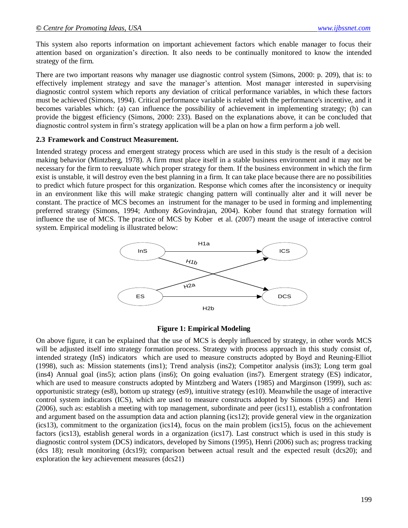This system also reports information on important achievement factors which enable manager to focus their attention based on organization's direction. It also needs to be continually monitored to know the intended strategy of the firm.

There are two important reasons why manager use diagnostic control system (Simons, 2000: p. 209), that is: to effectively implement strategy and save the manager's attention. Most manager interested in supervising diagnostic control system which reports any deviation of critical performance variables, in which these factors must be achieved (Simons, 1994). Critical performance variable is related with the performance's incentive, and it becomes variables which: (a) can influence the possibility of achievement in implementing strategy; (b) can provide the biggest efficiency (Simons, 2000: 233). Based on the explanations above, it can be concluded that diagnostic control system in firm's strategy application will be a plan on how a firm perform a job well.

#### **2.3 Framework and Construct Measurement.**

Intended strategy process and emergent strategy process which are used in this study is the result of a decision making behavior (Mintzberg, 1978). A firm must place itself in a stable business environment and it may not be necessary for the firm to reevaluate which proper strategy for them. If the business environment in which the firm exist is unstable, it will destroy even the best planning in a firm. It can take place because there are no possibilities to predict which future prospect for this organization. Response which comes after the inconsistency or inequity in an environment like this will make strategic changing pattern will continually alter and it will never be constant. The practice of MCS becomes an instrument for the manager to be used in forming and implementing preferred strategy (Simons, 1994; Anthony &Govindrajan, 2004). Kober found that strategy formation will influence the use of MCS. The practice of MCS by Kober et al. (2007) meant the usage of interactive control system. Empirical modeling is illustrated below:



#### **Figure 1: Empirical Modeling**

On above figure, it can be explained that the use of MCS is deeply influenced by strategy, in other words MCS will be adjusted itself into strategy formation process. Strategy with process approach in this study consist of, intended strategy (InS) indicators which are used to measure constructs adopted by Boyd and Reuning-Elliot (1998), such as: Mission statements (ins1); Trend analysis (ins2); Competitor analysis (ins3); Long term goal (ins4) Annual goal (ins5); action plans (ins6); On going evaluation (ins7). Emergent strategy (ES) indicator, which are used to measure constructs adopted by Mintzberg and Waters (1985) and Marginson (1999), such as: opportunistic strategy (es8), bottom up strategy (es9), intuitive strategy (es10). Meanwhile the usage of interactive control system indicators (ICS), which are used to measure constructs adopted by Simons (1995) and Henri (2006), such as: establish a meeting with top management, subordinate and peer (ics11), establish a confrontation and argument based on the assumption data and action planning (ics12); provide general view in the organization (ics13), commitment to the organization (ics14), focus on the main problem (ics15), focus on the achievement factors (ics13), establish general words in a organization (ics17). Last construct which is used in this study is diagnostic control system (DCS) indicators, developed by Simons (1995), Henri (2006) such as; progress tracking (dcs 18); result monitoring (dcs19); comparison between actual result and the expected result (dcs20); and exploration the key achievement measures (dcs21)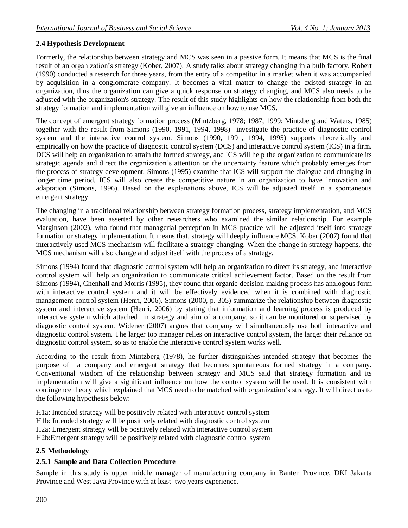## **2.4 Hypothesis Development**

Formerly, the relationship between strategy and MCS was seen in a passive form. It means that MCS is the final result of an organization's strategy (Kober, 2007). A study talks about strategy changing in a bulb factory. Robert (1990) conducted a research for three years, from the entry of a competitor in a market when it was accompanied by acquisition in a conglomerate company. It becomes a vital matter to change the existed strategy in an organization, thus the organization can give a quick response on strategy changing, and MCS also needs to be adjusted with the organization's strategy. The result of this study highlights on how the relationship from both the strategy formation and implementation will give an influence on how to use MCS.

The concept of emergent strategy formation process (Mintzberg, 1978; 1987, 1999; Mintzberg and Waters, 1985) together with the result from Simons (1990, 1991, 1994, 1998) investigate the practice of diagnostic control system and the interactive control system. Simons (1990, 1991, 1994, 1995) supports theoretically and empirically on how the practice of diagnostic control system (DCS) and interactive control system (ICS) in a firm. DCS will help an organization to attain the formed strategy, and ICS will help the organization to communicate its strategic agenda and direct the organization's attention on the uncertainty feature which probably emerges from the process of strategy development. Simons (1995) examine that ICS will support the dialogue and changing in longer time period. ICS will also create the competitive nature in an organization to have innovation and adaptation (Simons, 1996). Based on the explanations above, ICS will be adjusted itself in a spontaneous emergent strategy.

The changing in a traditional relationship between strategy formation process, strategy implementation, and MCS evaluation, have been asserted by other researchers who examined the similar relationship. For example Marginson (2002), who found that managerial perception in MCS practice will be adjusted itself into strategy formation or strategy implementation. It means that, strategy will deeply influence MCS. Kober (2007) found that interactively used MCS mechanism will facilitate a strategy changing. When the change in strategy happens, the MCS mechanism will also change and adjust itself with the process of a strategy.

Simons (1994) found that diagnostic control system will help an organization to direct its strategy, and interactive control system will help an organization to communicate critical achievement factor. Based on the result from Simons (1994), Chenhall and Morris (1995), they found that organic decision making process has analogous form with interactive control system and it will be effectively evidenced when it is combined with diagnostic management control system (Henri, 2006). Simons (2000, p. 305) summarize the relationship between diagnostic system and interactive system (Henri, 2006) by stating that information and learning process is produced by interactive system which attached in strategy and aim of a company, so it can be monitored or supervised by diagnostic control system. Widener (2007) argues that company will simultaneously use both interactive and diagnostic control system. The larger top manager relies on interactive control system, the larger their reliance on diagnostic control system, so as to enable the interactive control system works well.

According to the result from Mintzberg (1978), he further distinguishes intended strategy that becomes the purpose of a company and emergent strategy that becomes spontaneous formed strategy in a company. Conventional wisdom of the relationship between strategy and MCS said that strategy formation and its implementation will give a significant influence on how the control system will be used. It is consistent with contingence theory which explained that MCS need to be matched with organization's strategy. It will direct us to the following hypothesis below:

H1a: Intended strategy will be positively related with interactive control system H1b: Intended strategy will be positively related with diagnostic control system H2a: Emergent strategy will be positively related with interactive control system H2b:Emergent strategy will be positively related with diagnostic control system

## **2.5 Methodology**

### **2.5.1 Sample and Data Collection Procedure**

Sample in this study is upper middle manager of manufacturing company in Banten Province, DKI Jakarta Province and West Java Province with at least two years experience.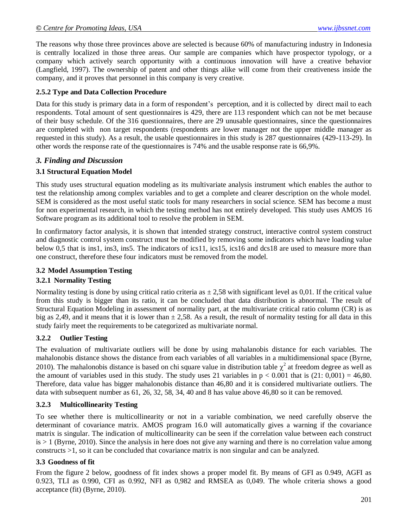The reasons why those three provinces above are selected is because 60% of manufacturing industry in Indonesia is centrally localized in those three areas. Our sample are companies which have prospector typology, or a company which actively search opportunity with a continuous innovation will have a creative behavior (Langfield, 1997). The ownership of patent and other things alike will come from their creativeness inside the company, and it proves that personnel in this company is very creative.

#### **2.5.2 Type and Data Collection Procedure**

Data for this study is primary data in a form of respondent's perception, and it is collected by direct mail to each respondents. Total amount of sent questionnaires is 429, there are 113 respondent which can not be met because of their busy schedule. Of the 316 questionnaires, there are 29 unusable questionnaires, since the questionnaires are completed with non target respondents (respondents are lower manager not the upper middle manager as requested in this study). As a result, the usable questionnaires in this study is 287 questionnaires (429-113-29). In other words the response rate of the questionnaires is 74% and the usable response rate is 66,9%.

### *3. Finding and Discussion*

### **3.1 Structural Equation Model**

This study uses structural equation modeling as its multivariate analysis instrument which enables the author to test the relationship among complex variables and to get a complete and clearer description on the whole model. SEM is considered as the most useful static tools for many researchers in social science. SEM has become a must for non experimental research, in which the testing method has not entirely developed. This study uses AMOS 16 Software program as its additional tool to resolve the problem in SEM.

In confirmatory factor analysis, it is shown that intended strategy construct, interactive control system construct and diagnostic control system construct must be modified by removing some indicators which have loading value below 0,5 that is ins1, ins3, ins5. The indicators of ics11, ics15, ics16 and dcs18 are used to measure more than one construct, therefore these four indicators must be removed from the model.

### **3.2 Model Assumption Testing**

### **3.2.1 Normality Testing**

Normality testing is done by using critical ratio criteria as  $\pm 2.58$  with significant level as 0.01. If the critical value from this study is bigger than its ratio, it can be concluded that data distribution is abnormal. The result of Structural Equation Modeling in assessment of normality part, at the multivariate critical ratio column (CR) is as big as 2,49, and it means that it is lower than  $\pm 2,58$ . As a result, the result of normality testing for all data in this study fairly meet the requirements to be categorized as multivariate normal.

### **3.2.2 Outlier Testing**

The evaluation of multivariate outliers will be done by using mahalanobis distance for each variables. The mahalonobis distance shows the distance from each variables of all variables in a multidimensional space (Byrne, 2010). The mahalonobis distance is based on chi square value in distribution table  $\chi^2$  at freedom degree as well as the amount of variables used in this study. The study uses 21 variables in  $p < 0.001$  that is (21: 0,001) = 46,80. Therefore, data value has bigger mahalonobis distance than 46,80 and it is considered multivariate outliers. The data with subsequent number as 61, 26, 32, 58, 34, 40 and 8 has value above 46,80 so it can be removed.

#### **3.2.3 Multicollinearity Testing**

To see whether there is multicollinearity or not in a variable combination, we need carefully observe the determinant of covariance matrix. AMOS program 16.0 will automatically gives a warning if the covariance matrix is singular. The indication of multicollinearity can be seen if the correlation value between each construct  $is > 1$  (Byrne, 2010). Since the analysis in here does not give any warning and there is no correlation value among constructs >1, so it can be concluded that covariance matrix is non singular and can be analyzed.

## **3.3 Goodness of fit**

From the figure 2 below, goodness of fit index shows a proper model fit. By means of GFI as 0.949, AGFI as 0.923, TLI as 0.990, CFI as 0.992, NFI as 0,982 and RMSEA as 0,049. The whole criteria shows a good acceptance (fit) (Byrne, 2010).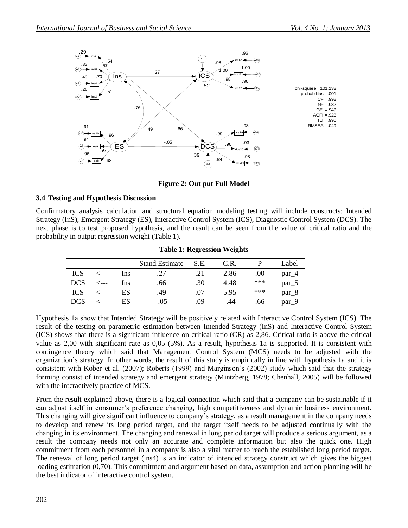

#### **Figure 2: Out put Full Model**

#### **3.4 Testing and Hypothesis Discussion**

Confirmatory analysis calculation and structural equation modeling testing will include constructs: Intended Strategy (InS), Emergent Strategy (ES), Interactive Control System (ICS), Diagnostic Control System (DCS). The next phase is to test proposed hypothesis, and the result can be seen from the value of critical ratio and the probability in output regression weight (Table 1).

|            |      |            | Stand. Estimate | S.E. | C.R. |       | Label             |
|------------|------|------------|-----------------|------|------|-------|-------------------|
| <b>ICS</b> | <--- | <b>Ins</b> | .27             | .21  | 2.86 | .00.  | $par_4$           |
| <b>DCS</b> | ⊂--- | Ins        | .66             | .30  | 4.48 | $***$ | $par_{5}$         |
| <b>ICS</b> | '--- | ES         | .49             | .07  | 5.95 | ***   | $par_8$           |
| <b>DCS</b> | ---  | ES         | $-.05$          | .09  | -.44 | .66   | par <sub>-9</sub> |

#### **Table 1: Regression Weights**

Hypothesis 1a show that Intended Strategy will be positively related with Interactive Control System (ICS). The result of the testing on parametric estimation between Intended Strategy (InS) and Interactive Control System (ICS) shows that there is a significant influence on critical ratio (CR) as 2,86. Critical ratio is above the critical value as 2,00 with significant rate as 0,05 (5%). As a result, hypothesis 1a is supported. It is consistent with contingence theory which said that Management Control System (MCS) needs to be adjusted with the organization's strategy. In other words, the result of this study is empirically in line with hypothesis 1a and it is consistent with Kober et al. (2007); Roberts (1999) and Marginson's (2002) study which said that the strategy forming consist of intended strategy and emergent strategy (Mintzberg, 1978; Chenhall, 2005) will be followed with the interactively practice of MCS.

From the result explained above, there is a logical connection which said that a company can be sustainable if it can adjust itself in consumer's preference changing, high competitiveness and dynamic business environment. This changing will give significant influence to company's strategy, as a result management in the company needs to develop and renew its long period target, and the target itself needs to be adjusted continually with the changing in its environment. The changing and renewal in long period target will produce a serious argument, as a result the company needs not only an accurate and complete information but also the quick one. High commitment from each personnel in a company is also a vital matter to reach the established long period target. The renewal of long period target (ins4) is an indicator of intended strategy construct which gives the biggest loading estimation (0,70). This commitment and argument based on data, assumption and action planning will be the best indicator of interactive control system.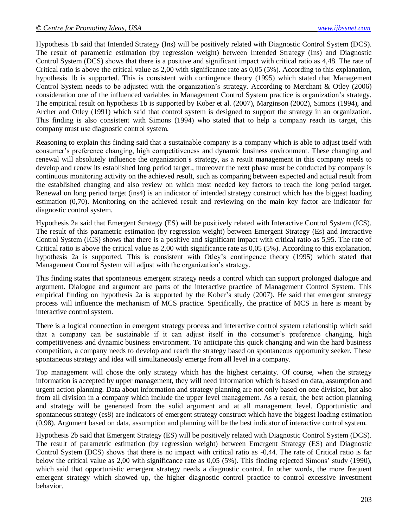Hypothesis 1b said that Intended Strategy (Ins) will be positively related with Diagnostic Control System (DCS). The result of parametric estimation (by regression weight) between Intended Strategy (Ins) and Diagnostic Control System (DCS) shows that there is a positive and significant impact with critical ratio as 4,48. The rate of Critical ratio is above the critical value as 2,00 with significance rate as 0,05 (5%). According to this explanation, hypothesis 1b is supported. This is consistent with contingence theory (1995) which stated that Management Control System needs to be adjusted with the organization's strategy. According to Merchant & Otley (2006) consideration one of the influenced variables in Management Control System practice is organization's strategy. The empirical result on hypothesis 1b is supported by Kober et al. (2007), Marginson (2002), Simons (1994), and Archer and Otley (1991) which said that control system is designed to support the strategy in an organization. This finding is also consistent with Simons (1994) who stated that to help a company reach its target, this company must use diagnostic control system.

Reasoning to explain this finding said that a sustainable company is a company which is able to adjust itself with consumer's preference changing, high competitiveness and dynamic business environment. These changing and renewal will absolutely influence the organization's strategy, as a result management in this company needs to develop and renew its established long period target., moreover the next phase must be conducted by company is continuous monitoring activity on the achieved result, such as comparing between expected and actual result from the established changing and also review on which most needed key factors to reach the long period target. Renewal on long period target (ins4) is an indicator of intended strategy construct which has the biggest loading estimation (0,70). Monitoring on the achieved result and reviewing on the main key factor are indicator for diagnostic control system.

Hypothesis 2a said that Emergent Strategy (ES) will be positively related with Interactive Control System (ICS). The result of this parametric estimation (by regression weight) between Emergent Strategy (Es) and Interactive Control System (ICS) shows that there is a positive and significant impact with critical ratio as 5,95. The rate of Critical ratio is above the critical value as 2,00 with significance rate as 0,05 (5%). According to this explanation, hypothesis 2a is supported. This is consistent with Otley's contingence theory (1995) which stated that Management Control System will adjust with the organization's strategy.

This finding states that spontaneous emergent strategy needs a control which can support prolonged dialogue and argument. Dialogue and argument are parts of the interactive practice of Management Control System. This empirical finding on hypothesis 2a is supported by the Kober's study (2007). He said that emergent strategy process will influence the mechanism of MCS practice. Specifically, the practice of MCS in here is meant by interactive control system.

There is a logical connection in emergent strategy process and interactive control system relationship which said that a company can be sustainable if it can adjust itself in the consumer's preference changing, high competitiveness and dynamic business environment. To anticipate this quick changing and win the hard business competition, a company needs to develop and reach the strategy based on spontaneous opportunity seeker. These spontaneous strategy and idea will simultaneously emerge from all level in a company.

Top management will chose the only strategy which has the highest certainty. Of course, when the strategy information is accepted by upper management, they will need information which is based on data, assumption and urgent action planning. Data about information and strategy planning are not only based on one division, but also from all division in a company which include the upper level management. As a result, the best action planning and strategy will be generated from the solid argument and at all management level. Opportunistic and spontaneous strategy (es8) are indicators of emergent strategy construct which have the biggest loading estimation (0,98). Argument based on data, assumption and planning will be the best indicator of interactive control system.

Hypothesis 2b said that Emergent Strategy (ES) will be positively related with Diagnostic Control System (DCS). The result of parametric estimation (by regression weight) between Emergent Strategy (ES) and Diagnostic Control System (DCS) shows that there is no impact with critical ratio as -0,44. The rate of Critical ratio is far below the critical value as 2,00 with significance rate as 0,05 (5%). This finding rejected Simons' study (1990), which said that opportunistic emergent strategy needs a diagnostic control. In other words, the more frequent emergent strategy which showed up, the higher diagnostic control practice to control excessive investment behavior.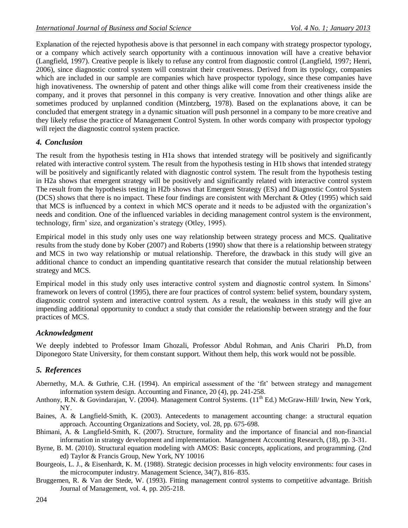Explanation of the rejected hypothesis above is that personnel in each company with strategy prospector typology, or a company which actively search opportunity with a continuous innovation will have a creative behavior (Langfield, 1997). Creative people is likely to refuse any control from diagnostic control (Langfield, 1997; Henri, 2006), since diagnostic control system will constraint their creativeness. Derived from its typology, companies which are included in our sample are companies which have prospector typology, since these companies have high inovativeness. The ownership of patent and other things alike will come from their creativeness inside the company, and it proves that personnel in this company is very creative. Innovation and other things alike are sometimes produced by unplanned condition (Mintzberg, 1978). Based on the explanations above, it can be concluded that emergent strategy in a dynamic situation will push personnel in a company to be more creative and they likely refuse the practice of Management Control System. In other words company with prospector typology will reject the diagnostic control system practice.

### *4. Conclusion*

The result from the hypothesis testing in H1a shows that intended strategy will be positively and significantly related with interactive control system. The result from the hypothesis testing in H1b shows that intended strategy will be positively and significantly related with diagnostic control system. The result from the hypothesis testing in H2a shows that emergent strategy will be positively and significantly related with interactive control system The result from the hypothesis testing in H2b shows that Emergent Strategy (ES) and Diagnostic Control System (DCS) shows that there is no impact. These four findings are consistent with Merchant & Otley (1995) which said that MCS is influenced by a context in which MCS operate and it needs to be adjusted with the organization's needs and condition. One of the influenced variables in deciding management control system is the environment, technology, firm' size, and organization's strategy (Otley, 1995).

Empirical model in this study only uses one way relationship between strategy process and MCS. Qualitative results from the study done by Kober (2007) and Roberts (1990) show that there is a relationship between strategy and MCS in two way relationship or mutual relationship. Therefore, the drawback in this study will give an additional chance to conduct an impending quantitative research that consider the mutual relationship between strategy and MCS.

Empirical model in this study only uses interactive control system and diagnostic control system. In Simons' framework on levers of control (1995), there are four practices of control system: belief system, boundary system, diagnostic control system and interactive control system. As a result, the weakness in this study will give an impending additional opportunity to conduct a study that consider the relationship between strategy and the four practices of MCS.

#### *Acknowledgment*

We deeply indebted to Professor Imam Ghozali, Professor Abdul Rohman, and Anis Chariri Ph.D, from Diponegoro State University, for them constant support. Without them help, this work would not be possible.

### *5. References*

- Abernethy, M.A. & Guthrie, C.H. (1994). An empirical assessment of the 'fit' between strategy and management information system design. Accounting and Finance, 20 (4), pp. 241-258.
- Anthony, R.N. & Govindarajan, V. (2004). Management Control Systems. (11<sup>th</sup> Ed.) McGraw-Hill/ Irwin, New York, NY.
- Baines, A. & Langfield-Smith, K. (2003). Antecedents to management accounting change: a structural equation approach. Accounting Organizations and Society, vol. 28, pp. 675-698.
- Bhimani, A. & Langfield-Smith, K. (2007). Structure, formality and the importance of financial and non-financial information in strategy development and implementation. Management Accounting Research, (18), pp. 3-31.
- Byrne, B. M. (2010). Structural equation modeling with AMOS: Basic concepts, applications, and programming. (2nd ed) Taylor & Francis Group, New York, NY 10016
- Bourgeois, L. J., & Eisenhardt, K. M. (1988). Strategic decision processes in high velocity environments: four cases in the microcomputer industry. Management Science, 34(7), 816–835.
- Bruggemen, R. & Van der Stede, W. (1993). Fitting management control systems to competitive advantage. British Journal of Management, vol. 4, pp. 205-218.